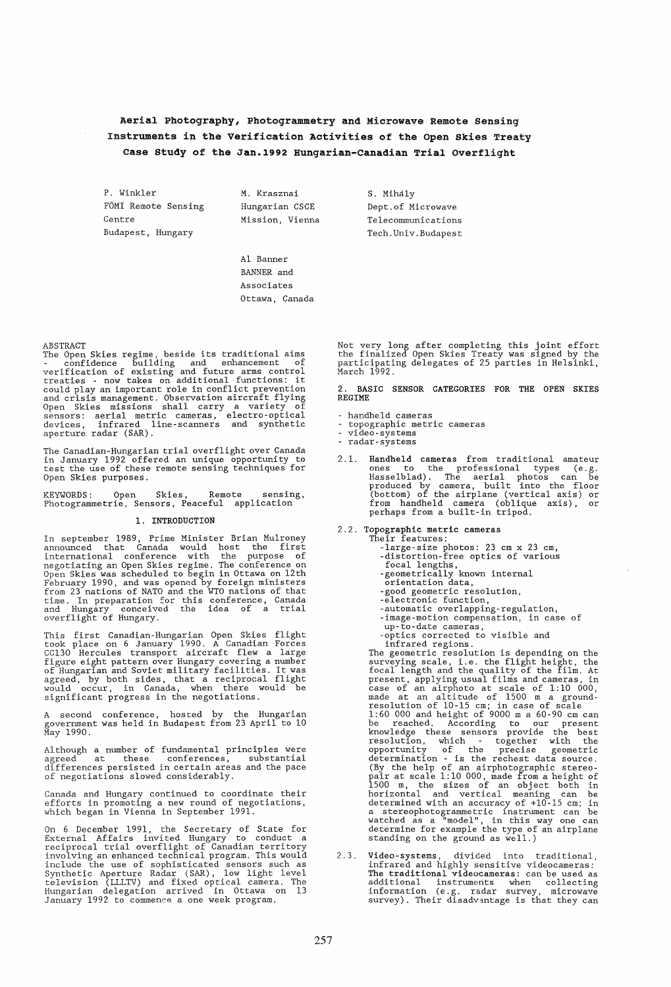# Aerial Photography, Photogrammetry and Microwave Remote sensing Instruments in the Verification Activities of the Open skies Treaty Case Study of the Jan.1992 Hungarian-Canadian Trial Overflight

P. Winkler FOMI Remote Sensing Centre Budapest, Hungary

M. Krasznai Hungarian CSCE Mission, Vienna S. Mihaly Dept.of Microwave Telecommunications Tech.Univ.Budapest

Al Banner BANNER and Associates Ottawa, Canada

ABSTRACT<br>The Open Skies regime, beside its traditional aims<br>The Open Skies regime, building and enhancement of<br>verification of existing and future arms control<br>treaties - now takes on additional functions: it<br>could play an Open Skies missions shall carry a variety of sensors: aerial metric cameras, electro-optical devices, infrared line-scanners and synthetic aperture radar (SAR).

The Canadian-Hungarian trial overflight over Canada in January 1992 offered an unique opportunity to test the use of these remote sensing techniques for Open Skies purposes.

KEYWORDS: Open Skies, Remote sensing, Photogrammetrie, Sensors, Peaceful application

## 1. INTRODUCTION

In september 1989, Prime Minister Brian Mulroney announced that Canada would host the first international conference with the purpose of megotiating an Open Skies regime. The conference on<br>Open Skies was scheduled to begin in Ottawa on 12th<br>February 1990, and was opened by foreign ministers<br>from 23 nations of NATO and the WTO nations of that<br>time. In prepar

This first Canadian-Hungarian Open Skies flight<br>took place on 6 January 1990. A Canadian Forces<br>CC130 Hercules transport aircraft flew a large<br>figure eight pattern over Hungary covering a number<br>of Hungarian and Soviet mil

A second conference, hosted by the Hungarian government was held in Budapest from 23 April to 10 May 1990.

Although a number of fundamental principles were agreed at these conferences, substantial differences persisted in certain areas and the pace of negotiations slowed considerably.

Canada and Hungary continued to coordinate their efforts in promoting a new round of negotiations, which began in Vienna in September 1991.

On 6 December 1991, the Secretary of State for<br>External Affairs invited Hungary to conduct a<br>reciprocal trial overflight of Canadian territory<br>involving an enhanced technical program. This would<br>include the use of sophisti

Not very long after completing this joint effort the finalized Open Skies Treaty was signed by the participating delegates of 25 parties in Helsinki, March 1992.

2. BASIC SENSOR CATEGORIES FOR THE OPEN SKIES REGIME

- handheld cameras
- topographic metric cameras<br>video-systems
- 
- radar-systems
- 2.1. Handheld cameras from traditional amateur<br>ones to the professional types (e.g.<br>Hasselblad). The aerial photos can be<br>produced by camera, built into the floor<br>(bottom) of the airplane (vertical axis) or<br>from handheld c perhaps from a built-in tripod.
- 2.2. Topographic metric cameras Their features:
	-
	- -large-size photos: 23 cm x 23 cm, -distortion-free optics of various focal lengths, -geometrically known internal orientation data,
	-
	-
	-
	-
	-
	- -good geometric resolution, -electronic function, -automatic overlapping-regulation, -image-motion compensation, in case of up-to-date cameras, -optics corrected to visible and
	-

prices corrected regions.<br>The geometric resolution is depending on the The geometric resolution is depending on the<br>surveying scale, i.e. the flight height, the<br>focal length and the quality of the film. At<br>present, applying usual films and cameras, in<br>case of an airphoto at scale of 1:10 000, (By the help of an airphotographic stereo- pair at scale 1:10 000, made from a height of 1500 m, the sizes of an object both in horizontal and vertical meaning can be determined with an accuracy of  $+10-15$  cm; in a stereophotogrammetric instrument can be watched as a "model", in this way one can determine for example the type of an airplane standing on the ground as well.)

2.3. Video-systems, divided into traditional, infrared and highly sensitive videocameras:<br>The traditional videocameras: can be used as<br>additional instruments when collecting<br>information (e.g. radar survey, microwave<br>survey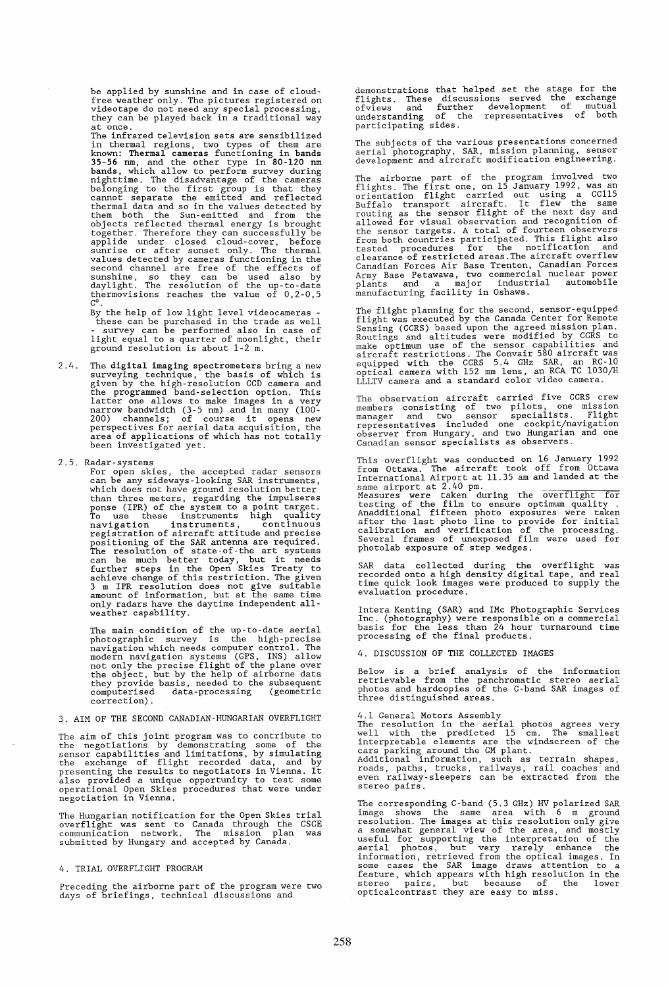be applied by sunshine and in case of cloudfree weather only. The pictures registered on videotape do not need any special processing, they can be played back in a traditional way at once.

The infrared television sets are sensibilized in thermal regions, two types of them are<br>known: Thermal cameras functioning in bands<br>35-56 nm, and the other type in 80-120 nm<br>bands, which allow to perform survey during<br>nighttime. The disadvantage of the cameras<br>belongi together. Therefore they can successfully be<br>applide under closed cloud-cover, before<br>sunrise or after sunset only. The thermal<br>values detected by cameras functioning in the<br>second channel are free of the effects of<br>sunshi

By the help of low light level videocameras - these can be purchased in the trade as well - survey can be performed also in case of light equal to a quarter of moonlight, their ground resolution is about 1-2 m.

- 2.4. The digital imaging spectrometers bring a new surveying technique, the basis of which is given by the high-resolution *CCD* camera and the programmed band-selection option. This latter one allows to make images in a very narrow bandwidth (3-5 nm) and in many (100- 200) channels; of course it opens new perspectives for aerial data acquisition, the area of applications of which has not totally been investigated yet.
- 2.5. Radar-systems

For open skies, the accepted radar sensors<br>can be any sideways-looking SAR instruments,<br>which does not have ground resolution better<br>than three meters, regarding the impulseres<br>ponse (IPR) of the system to a point target.<br> rosaltioning of the SAR antenna are required.<br>The resolution of state-of-the art systems<br>can be much better today, but it needs<br>further steps in the Open Skies Treaty to<br>achieve change of this restriction. The given<br>3 m IP

The main condition of the up-to-date aerial<br>photographic survey is the high-precise<br>navigation which needs computer control. The<br>modern navigation systems (GPS, INS) allow<br>not only the precise flight of the plane over<br>the correction).

3. AIM OF THE SECOND CANADIAN-HUNGARIAN OVERFLIGHT

The aim of this joint program was to contribute to<br>the negotiations by demonstrating some of the<br>sensor capabilities and limitations, by simulating<br>the exchange of flight recorded data, and by<br>presenting the results to neg

The Hungarian notification for the Open Skies trial overflight was sent to Canada through the CSCE communication network. The mission plan was submitted by Hungary and accepted by Canada.

### 4. TRIAL OVERFLIGHT PROGRAM

Preceding the airborne part of the program were two days of briefings, technical discussions and

demonstrations that helped set the stage for the flights. These discussions served the exchange of the understanding of the representatives of both participating sides.

The subjects of the various presentations concerned aerial photography, SAR, mission planning, sensor development and aircraft modification engineering.

The airborne part of the program involved two<br>flights. The first one, on 15 January 1992, was an<br>orientation flight carried out using a CCl15<br>Buffalo transport aircraft. It flew the same<br>routing as the sensor flight of the

The flight planning for the second, sensor-equipped<br>flight was executed by the Canada Center for Remote<br>Sensing (CCRS) based upon the agreed mission plan.<br>Routings and altitudes were modified by CCRS to<br>make optimum use of

The observation aircraft carried five CCRS crew The bostward of two pilots, one mission<br>manager and two sensor specialists. Flight<br>representatives included one cockpit/navigation<br>observer from Hungary, and two Hungarian and one<br>Canadian sensor specialists as observers.

This overflight was conducted on 16 January 1992 from Ottawa. The aircraft took off from Ottawa International Airport at 11.35 am and landed at the

same airport at 2.40 pm.<br>
Measures were taken during the overflight for<br>
Measures were taken during the overflight for<br>
Measures were taken during the overflight of<br>
Anadditional fifteen photo exposures were taken<br>
after t

SAR data collected during the overflight was recorded onto a high density digital tape, and real time quick look images were produced to supply the evaluation procedure.

Intera Kenting (SAR) and IMc Photographic Services Inc. (photography) were responsible on a commercial basis for the less than 24 hour turnaround time processing of the final products.

4. DISCUSSION OF THE COLLECTED IMAGES

Below is a brief analysis of the information retrievable from the panchromatic stereo aerial photos and hardcopies of the C-band SAR images of three distinguished areas.

4.1 General Motors Assembly<br>The resolution in the aerial photos agrees very<br>well with the predicted 15 cm. The smallest<br>interpretable elements are the windscreen of the<br>cars parking around the GM plant.<br>Additional informat stereo pairs.

The corresponding C-band (5.3 GHz) HV polarized SAR<br>image shows the same area with 6 m ground<br>resolution. The images at this resolution only give<br>a somewhat general view of the area, and mostly<br>useful for supporting the in